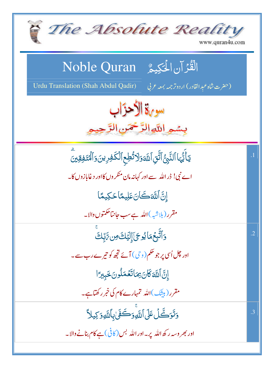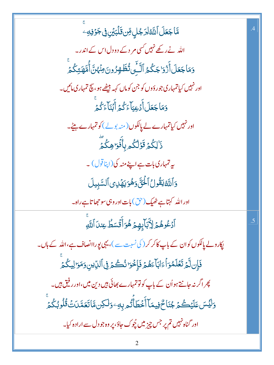| ۿ <mark>ٵڿ<i>ؘ</i>ڮؘڶ</mark> ٲڷڷڟڶؚڗ <sup>ڮ</sup> ڸؚ؋ؚڹۊؘڶڹؽڹ؋ۣڿۏڣ                                 | $\cdot$ |
|----------------------------------------------------------------------------------------------------|---------|
| اللہ نے رکھے نہیں کسی مر دکے دودل اس کے اندر۔                                                      |         |
| وَمَاجَعَلَ أَزۡوَاجَكُمُ ٱلَّـِّىتُظَهِرُونَ مِنۡهُنَّ أُمَّهَتِكُمۡ                              |         |
| اور نہیں کیاتمہاری جو رؤوں کو جن کوماں کہہ بیٹھے ہو، بیچ تمہاری مائیں۔                             |         |
| وَمَاجَعَلَ أَدُعِيَآءَكُمۡ أَبۡنَآءَكُمۡ                                                          |         |
| اور نہیں کیاتمہارے لے پالکوں(منہ بولے) کو تمہارے بیٹے۔                                             |         |
| .<br>ذَٰلِكُمۡ قَوۡلُكُم بِأَفۡوَاهِكُمۡ                                                           |         |
| ىيەتمہارى بات ہے اپنے منہ كى(اپنا قول) ۔                                                           |         |
| وَٱللَّهُ يَقُولُ ٱلۡئَیَّ وَهُوَ يَهۡلِى ٱلسَّبِيلَ                                               |         |
| اور الله کہتاہے ٹھیک (حق) بات اور وہی سو حجاتاہے راہ۔                                              |         |
| ٱدۡػُوهُمۡ لِأَبَآبِهِمۡ هُوَأَقَۡسَطُ عِندَآاللَّهِ                                               | .5      |
| پکارولے پالکوں کوان کے باپ کاکر کر ( کی نسبت سے )، یہی پوراانصاف ہے،اللہ کے ہاں۔                   |         |
| فَإِن لَّمَ تَعَلَّمُوٓ أَءَابَأَءَهُمۡ فَإِخُوٓ نُكُمۡ فِى ٱلدِّينِ وَمَوَالِيكُمۡ                |         |
| پھر اگر نہ جانتے ہو اُن کے باپ کو تو تمہارے بھائی ہیں دین میں،اور رفیق ہیں۔                        |         |
| <u>و</u> َلِّيۡسَ عَلَيۡكُمۡ جُنَا حٌ فِيمَاۤ أَخۡطَأۡتُم بِهِۦوَلَكِن مَّاتَعَمَّدَتُ قُلُوبُكُمۡ |         |
| اور گناہ نہیں تم پر جس چیز میں چُوک جاؤ، پر وہ جو دل سے ارادہ کیا۔                                 |         |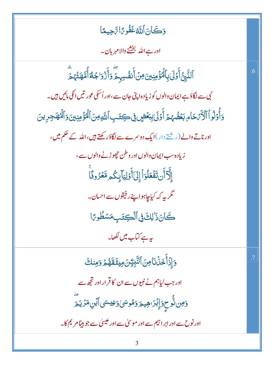وَكَانَ ٱللَّهُ غَفُوعًا تَّحِيمًا **3** وَكَانَ ٱللَّهُ غَفُو رَّاسَّ  $\ddot{\epsilon}$ Ć اور ہے اللہ بخشنے والا مہربان۔ ٱلنَّبِىُّ أَوۡلَىٰٰنِٱلۡهُۚؤۡمِنِینَ مِنۡ أَنَفُ ر<br>ا <u>ل</u>ئ پامتو<sub>ن</sub>ونیین<br>منابع مذ اُ<br>استعادات المصريات<br>المصريات نَّبِىُّ أَوۡلَىٰ بِٱلٰۡٓفُرۡ مِنِينَ۞ مِنۡ أَنفُسِہِمۡ وَأَزۡوَا جُاۡٓةَ أَمَّهَتُّهُمۡ Ĺ % ۔<br>ا ۔<br>ا Í **:** % أكلم ≶  $\frac{1}{2}$  $\frac{1}{2}$ م<br>أ ۗ◌ نجی سے لگاؤہے ایمان والوں کو زیادہ اپنی *ج*ان سے ،اور اُسلی عور نیں انکی مائیں ہیں۔ وَأَوْلُواْ ٱلْأَيْرَحَامِ بَعُضُهُمْ أَوْلَىٰ بِبَعْضٍ فِي كِتَبِ ٱللَّهِ مِنَ ٱلْمُؤْمِنِينَ وَٱلْمُهَجِرِينَ وَأَوۡلُوۡٱٱلۡۚۚ كَمَحۡاٰ مِبۡغَضُّهُمۡۚ أَوۡلَىٰٰٓ بِبُغۡضٍ فِى كِتَبِٱللَّهِ مِنَ ٱلٰۡٓئَۚ مِنِينَ وَٱلٰۡٓئَمِنِينَ وَ **:** اَد<br>ا ؙٞٙۏڵۄٲٲڷڒ*۠ٙڹٙ*ڬٲ*ۄ*ؚڹۼۘ۫ڞ۠ؠ۠ؽٙٲۨٛۯٙڵێڹؠۼڞۣ؋ۣڝؾؘڹؚٲڷڐۅڹٲڷ۠<sup>ۯ</sup> **:** ير<br>ئيري أَوۡلَىٰٰابِبَعۡ ہ<br>گ Í ڔ*ؙڂۮٚ* وَأَوُلُواْ ٱلْأَثْرَى حَامِ کُواُ ٱلۡلَٰٓ تَهۡ جَ ĺ اور ناتے والے (ریشتے دار )ایک دوسرے سے لگاؤر کھتے ہیں،اللہ کے حکم میں، زیادہ سب ایمان والوں اور و طن حچھوڑنے والوں سے ، ٳؚڷۜٳ<sub>ٚ</sub>ٲٝڹۊؘڡؘؙۼڵڗٲٝٳؚڸؘٲٲۯڸؾۜٳۑؚػ۠ۄڡۜٞٷۯۏٵؘ ر<br>ر á % ڔ  $\frac{1}{2}$ إِلَّاۤأَن تَفۡعَلۡوَاۡۚ إِلَىٰٓأَوۡلِ <u>ُ</u><br>ُ  $\mathfrak{c}$ ؚۣ<br>ٳؖۮٲٞڹ**ؾٞڡؘؘ۫ٙ**ػڶ  $\begin{bmatrix} \n\end{bmatrix}$ مکر ىيە کە کیاجاہواپنےر فیقوں سے احس**ان۔** كَانَ؟َ لِكَ فِى ٱلۡكِتَبِمَسۡطُورًا **:** <sup>ق</sup>َى ألْكِ ֧<u>֓</u>  $\int_0^1$ گانَ<mark>دَ</mark> یہ ہے کتاب **می**ں لکھا۔ .6 وَإِذۡأَخَذۡنَاصِ ٱلنَّبِيُّنَ مِيثَقَهُمۡ وَمِنكَ <mark>ۯ</mark>ٳؚۯۡٲۘڂۘۮؘۙٮؘ۬ٵ*ڡؚ*ڹۘٲڵٿؖڹؚؾٟ۠ڹؘڡؚڹڣڡؘۜۿۿ<sub>ۮ</sub>ۏ **:** % % ِ<br>ُ Ś ٳڔؙٙٲؖٛ؞ ر در ما -اور جب لیاہم نے نبیوں سے ان کا قرار اور کچھ سے وَمِن ثُّوحٍوَإِبۡرَاهِيمَ وَمُّوسَىٰۚ وَطِيسَىٰ أَبۡنِ مَرۡ يَمَ ڵ<br>ؙ  $\tilde{\mathbf{y}}$ عد <u>ؤمِن توحٍوَإِبْرَاهِيْمَرْدَ</u>مُوسَىٰ وَ <sup>ۣ</sup>ؚؚؚؚؚؚؚؚۣۻ؈ٚ۠ؖ۠۠<del>ٚ</del>ٟحٍدٙٳۣڹؙڗٮۿۣؠۜ<sub>ڞ</sub>ٙۯۿ ú<br>Y ة<br>م ۖ◌ اور نوح سے اور ابر اہیم سے اور موسیٰ سے اور عیسیٰ سے جو بیٹا مریم کا۔ .7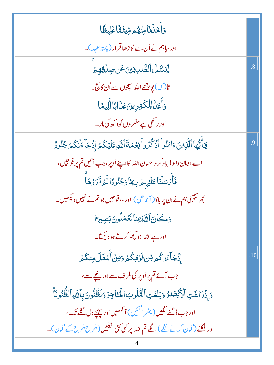| <u>و</u> َأَخَذُنَامِنُهُم مِّيثَقَّاغَلِيظًا                                                     |                    |
|---------------------------------------------------------------------------------------------------|--------------------|
| اورلیاہم نے اُن سے گاڑھاقرار (پختہ عہد)۔                                                          |                    |
| ڵۣؽ <i>ٙۺٙڶ</i> ٲٳڵڝؖٞڔۊؾؾٶؘڹڝؚۮؘۊڥٟڿ                                                             | $\overline{8}$     |
| تا( کہ) <mark>پو بی</mark> ھے اللہ سپجوں سے اُن کا پیچ۔                                           |                    |
| <u>و</u> َأَعَلَّ لِلْكَفِرِينَ عَذَابًا أَلِيمًا                                                 |                    |
| اور ر کھی ہے منکر وں کو د کھ کی مار۔                                                              |                    |
| يٓٲٛێ۠ؠٓٵٱڷؘۜۯؚؾڹؘٵڡؘڹ۠ۅٱٲڹۛػ۠ڒۅٲڹؚۼڡؘۃٙٲڷڷؘۅعؘڶؽؘػٛۮٳۮؘ۬ڿؘٲٷؘۛڷػٛۮؚ <sup>ڮڹ</sup> ۠ۏڒ۠           | .9                 |
| اے ایمان والو! یاد کر واحسان الله کااپنے اُوپر، جب آئیں تم پر فوجیں،                              |                    |
| فَأَمْسَلُنَا عَلَيۡہِمۡ بِيَّاۚوَجُنُودًالَّٰمۡ تَرَوۡهَاْ                                       |                    |
| پھر بھیجی ہم نے ان پر باؤ( آ ندھی )،اور وہ فوجیں جو تم نے نہیں دیکھیں۔                            |                    |
| وَكَانَ ٱللَّهُ بِمَاتَّعُمَلُونَ بَصِيرًا                                                        |                    |
| اور ہے اللہ جو کچھ کرتے ہو دیکھتا۔                                                                |                    |
| ٳؚۮؘ <b>ؚڿ</b> ٙٵۨۦ۠ۅػؙۄڡؚۜڹ؋ؘۊؚػؙ۠ۮؘۏڡؚڽؗٲ۠ۺڨؘڶ؋ڹػۢۮ                                             | .10 $\overline{a}$ |
| جب آئے تم پر اُوپر کی طرف سے اور نیچے سے،                                                         |                    |
| وَإِذَرَاغَتِ ٱلْأَبْصَرُ وَبَلَغَتِ ٱلْقُلُوبُ ٱلْحَنَاجِرَ وَتَظُنُّونَ بِأَللَّهِ ٱلظُّنُونَاْ |                    |
| اور جب ڈ گنے لگیں( پتھر ا <sup>گن</sup> یں) آنکھیں اور پہنچے دل گلے تک ،                          |                    |
| اور اٹکلنے (گمان کرنے لگے ) لگے تم اللہ پر کئی کئی اٹکلیں (طرح طرح کے گمان)۔                      |                    |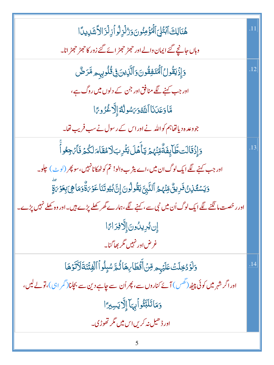| هُنَالِكَ ٱبۡتُلِىَ ٱلۡوَٰٓمِنُونَ وَرُٰلَزِلُو أَزِلۡزَ الاَّشَابِيدَا                                                    |     |
|----------------------------------------------------------------------------------------------------------------------------|-----|
| وہاں جانچے گئے ایمان والے اور حجھڑ حجھڑ ائے گئے زور کا حجھڑ حجھڑ انا۔                                                      |     |
| وَإِذَيَقُولُ ٱلْنُنَفِقُونَ وَٱلَّذِينَ فِى قُلُوبِهِم مَّرَضٌ                                                            | .12 |
| اور جب کہنے لگے منافق اور جن کے دلوں میں روگ ہے،                                                                           |     |
| مَّاوَعَدَنَا ٱللَّهُوَيَسُولُهُمَ إِلَّا غُزُويًا                                                                         |     |
| جو دعدہ دیاتھاہم کواللہ نے اور اس کے رسول نے سب فریب تھا۔                                                                  |     |
| <u>ۅ</u> ؘٳؚۮؘۊؘڶڶؾڟۜٳؠؚڣؘۊۨٞڡؚۨڹؙۿؽؘؾٲۜۿڶؾؿؙڔؚڹڶاۮڡ۠قؘٲ؞ؘڶػۢؽؘڣؘٲؠٙڿٶٲۨ                                                   | .13 |
| اور جب کہنے لگے ایک لوگ ان میں،اے یثر ب والو! تم کو ٹھکانانہیں،سو پھر (لو <sub>ٹ</sub> ) چلو۔                              |     |
| <u>و</u> َيَسۡقَـٰزِنۡ فَرِينٌّ مِّنۡهُمُ ٱلنَّبِيَّ يَقُولُونَ إِنَّ بُيُوتَنَا عَوۡىٰٓةٌوَمَاهِىَ بِعَوۡىَٰٓةٍ           |     |
| اور رخصت مانگنے لگے ایک لوگ اُن میں نبی سے ، کہنے لگے ،ہمارے <i>گھر</i> کھلے پڑے ہیں۔اور وہ کھلے نہیں پڑے۔                 |     |
| إِن يُرِيدُونَ إِلَّافِرَامًا                                                                                              |     |
| غرض اور نہیں مگر بھاگنا۔                                                                                                   |     |
| <u>و</u> َلَوۡدُخِلَتۡ عَلَيۡہِ مِرِّسۡ أَقۡطَا مِهَا ثُمَّ سُبِلُواۡ ٱلۡفِنَّنَةَلَأَنَوۡهَا                              | .14 |
| اور اگر شہر میں کوئی پی <sub>ٹھ</sub> (گھس ) آئے کناروں سے، پھر اُن سے چاہے دین سے بجلنا(گمر اب <sub>ک</sub> )، تو لے لیں، |     |
| وَمَاتَلَبَّثُواًبِهَا إِلَّا يَسِيرًا                                                                                     |     |
| اور ڈ ھیل نہ کریں اس <b>می</b> ں مگر تھوڑی۔                                                                                |     |
| 5                                                                                                                          |     |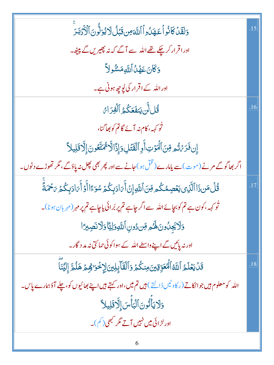| وَلَقَلْ كَانُواً عَهَلُواً ٱللَّهَ مِن قَبْلُ لَا يُوَلُّونَ ٱلْأَذَبَٰدَ                             | .15 |
|--------------------------------------------------------------------------------------------------------|-----|
| اورا قرار کرچکے تھے اللہ سے آگے کہ نہ پھیریں گے پیٹھ۔                                                  |     |
| وَكَانَ عَهْلُ أَللَّهِ مَسْمُولاً                                                                     |     |
| اور اللہ کے اقرار کی لُوچِ ہونی ہے۔                                                                    |     |
| قُللَّن يَنفَعَكُمُ ٱلْفِرَاءُ                                                                         | .16 |
| نُو <sub>کہہ</sub> ، کام نہ آئے گاتم کو بھاگنا،                                                        |     |
| إِن فَرَىۡتُم مِّنَ ٱلۡمَوۡتِ أَوِ ٱلۡقَتَٰلِ وَإِذَالَّا ثَمُتَّعُونَ إِلَّا قَلِيلاً                 |     |
| اگر بھاگوگے مرنے (موت) سے پامارے ( قُلْ ہو ) جانے سے اور پھر بھی کچل نہ پاؤ گے ، مگر تھوڑے د نوں۔      |     |
| <i>ۊؙ</i> ۠ڶؘ؋ؘڹۥؘۮؘٳٲڷۜڸ۫ؽؾۼڝؚڡ۠ػۢۄڡؚۜڹٲڷؘڷڸۅٳ۪ڹۛٲٛ؆ڶۯۑؚػٛؽٙۺۊٵٙٲٝۉٲٞ؆ڶۯۑؚػٛؽ۬؆ <sup>ۣڿ</sup> ڡؘۜڐٙۜ  | .17 |
| ٹُو <sub>ک</sub> ہہ، کون ہے تم کو بچائے اللہ سے اگر چاہے تم پر بُرائی یاچاہے تم پر مہر (مہربان ہو نا)۔ |     |
| وَلَايَجِلُونَ لَهُمْ قِن دُونِ أَللَّهِ وَلِيًّا وَلَا نَصِبِرًا                                      |     |
| اور نہ پائیں گے اپنے واسطے اللہ کے سِواکو ٹی حمائتی نہ مد د گار۔                                       |     |
| قَلْ يَعۡلَمُ ٱللَّهُ ٱلۡۡعَوِّقِينَ مِنكُمۡ وَٱلۡقَآابِلِينَ لِإِخۡوَا هِمۡ هَلُمَّ إِلَيۡنَا         | .18 |
| الله کومعلوم ہیں جواٹکاتے (ر کاوٹیں ڈالتے ) ہیں تم میں،اور کہتے ہیں اپنے بھائیوں کو،چلے آؤہمارے پاس۔   |     |
| وَلَا يَأْتُونَ ٱلْبَأْسَ إِلَّا قَلِيلاً                                                              |     |
| اور لڑائی میں نہیں آتے مگر کبھی( <sup>کم</sup> )۔                                                      |     |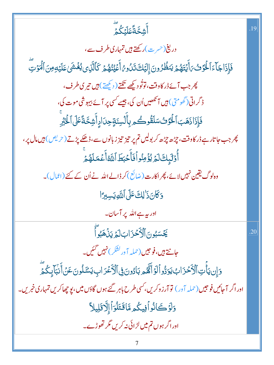ؚ<br>ٲٞڜ۫ڂ*ۜ*ۊۘٙػڶؽؘػۢؽؖ

 $19$ 

دریغ(حرت)رکھتے ہیں تمہاری طرف سے، فَإِذَاجَاًءَٱلۡوَٓئۡىَ ٱيۡتَهُمۡ يَنظُرُونَ إِلَيۡكَ تَدُو مُٰٓ أَعۡيُنُهُمۡ كَٱلَّذِى يُغۡشَىٰ عَلَيۡهِ مِنَ ٱلۡمَوۡتِّ پھر جب آئے ڈر کاوقت، توتُو دیکھے تکتے ( دیکھتے) ہیں تیری طرف، ڈ گراتی(گھومتی) ہیں آ نکھیں اُن کی، جیسے کسی پر آئے بیہو شی موت کی، فَإِذَاذَهَبَ ٱلْخَزَنُ سَلَقُوكُمِ بِأَلْسِنَةٍ حِدَادٍ أَشِحَّةً عَلَى ٱلْخَبَّرِ پھر جب جاتار ہے ڈر کاوقت، چڑھ چڑھ کر بولیں تم پر تیز تیز زبانوں سے،ڈھکے پڑتے (حریص) *بی*ں مال پر، أُوْلَيْكَ لَمُ يُؤْمِنُواْ فَأَحْبَطَ اللَّهُ أَعْمَلَهُمْ وہ لوگ یقین نہیں لائے، پھر اکارت(ضائع) کر ڈالے اللہ نے اُن کے کئے (اعمال)۔ وَكَانَ ذَٰ لِكَ عَلَى اللَّهِ يَسِبِرَّا اور بہ ہے اللہ پر آسان۔ يَّحْسَبُونَ ٱلْأَحْزَابَ لَيۡ يَذۡفَبُوۡآْ .20 جانتے ہیں، فوجیں (حملہ آور کشک) نہیں گئیں۔ وَإِن يَأْتِ ٱلْأَحْزَابُ يَوَدُّواْلَوۡ أَنَّهُم بَادُونَ فِى ٱلْأَعۡدَابِ يَسۡٓلُونَ عَنۡ أَنۡبَآ بِكُمۡٓ اور اگر آ جائیں فوجیں (حملہ آور) تو آرزوکریں، سی طرح باہر گئے ہوں گاؤں میں، یو چھاکریں تمہاری خبریں۔ وَلَوَكَانُواْفِيكُمِ مَّاقَتَلُوَاْ إِلَّاقَلِيلاً اور اگر ہوں تم میں لڑائی نہ کریں مگر تھوڑے۔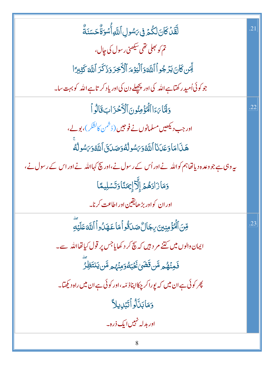| لَّقَدۡ كَانَ لَكُمۡ فِى ٱسُولِ ٱللَّهِ أُسۡوَةٌ حَسَنَةٌ                                       | .21 |
|-------------------------------------------------------------------------------------------------|-----|
| تم کو بھلی تھی سیکھنی ریبول کی جال،                                                             |     |
| لِّمَن كَانَ يَرۡ جُواۡ ٱللَّهَ وَٱلۡيَوۡمَ ٱلۡأَخِرَ وَذَكَرَ ٱللَّهَ كَثِيرَ ا                |     |
| جو کوئی اُمید رکھتاہے اللہ کی اور پچھلے دن کی اور یاد کر تاہے اللہ کو بہت سا۔                   |     |
| وَلَّمَّا رَءَا ٱلْمُؤْمِنُونَ ٱلْأَحْزَابَ قَالُواْ                                            | .22 |
| اور جب دیکھیں مسلمانوں نے فوجیں (ڈشمن کالشکر)، بولے،                                            |     |
| هَذَامَا وَعَدَنَا ٱللَّهُوَىَسُولُهُوَصَدَنَىَ ٱللَّهُوَىَسُولُهُ                              |     |
| پیروہی ہے جو وعدہ دیا تھاہم کو اللہ نے اور اُس کے رسول نے،اور بیچ کہااللہ نے اور اس کے رسول نے، |     |
| وَمَازَادَهُمۡ إِلَّاۤۤ إِيَمَنَاۚ وَتَسۡلِيمًا                                                 |     |
| اور ان کواور بڑھایقین اور اطاعت کرنا۔                                                           |     |
| قِّنَ ٱلۡۖ ۚ وَمِنِينَ بِجَالٌ صَدَقُواۡ مَا عَهَدُواۡ ٱللَّهَ عَلَيۡةِ                         | .23 |
| ایمان والوں میں کتنے مر د ہیں کہ پیچ کر د کھایاجس پر قول کیاتھااللہ سے۔                         |     |
| فَمِنۡهُۢ <i>ۄ</i> مَّن <b>قَضَىٰۚ ثَخَبَٰكُوَمِنۡهُ</b> ۄمَّن <b>ْ</b> يَ <b>نتَظِ</b> رُ      |     |
| پھر کوئی ہے ان میں کہ یوراکر چکااپناذ <sub>میں</sub> ،اور کوئی ہے ان میں راہ دیکھتا۔            |     |
| وَمَابَنَّالُواۡتَبۡلِيلاَ                                                                      |     |
| اور بدلہ نہیں ایک ذرہ۔                                                                          |     |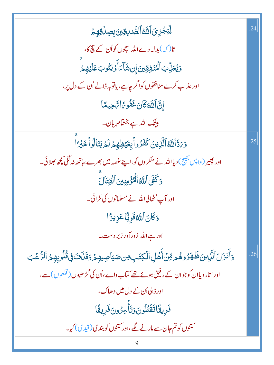| ڵؚؾ <i>ڿٙۯؚؽٙ</i> ٲٮ <i>ڐۜٵ</i> ۠ڵڟۜٮڔۊؾۛؾڔۣڝؚۮؙۊڥٟڿ                                                       | .24 |
|------------------------------------------------------------------------------------------------------------|-----|
| تا( کہ)بدلہ دےاللہ سچوں کواُن کے پیچ کا،                                                                   |     |
| وَيُعَزِّبَ ٱلۡۡمُنَفِقِينَ إِنۺَآءَٲٛوۡ يَتُوبَعَلَيۡهِمۡ                                                 |     |
| اور عذاب کرے منافقوں کواگر چاہے، یاتوبہ ڈالے اُن کے دل پر،                                                 |     |
| إِنَّ اللَّهَ كَانَ غَفُو بَرَا تَّاحِيمًا                                                                 |     |
| بیشک اللہ ہے بخشامہ <sub>ر</sub> بان۔                                                                      |     |
| وَىَدَّٱلَّكَ ٱلَّذِينَ كَفَرُواۡبِغَيۡظِهِمۡ لَمۡ يَنَالُوۡاۡ خَبۡرَۚٓٵ                                   | .25 |
| اور پھیر ( واپس بھیج ) دیااللہ نے منکر وں کو،اپنے غصہ میں بھرے،ہاتھ نہ لگی کچھ بھلائی۔                     |     |
| وَكَفَى ٱللَّهُ ٱلۡمُؤۡمِنِينَ ٱلۡقِتَالَ                                                                  |     |
| اور آپ اُٹھالی اللہ نے مسلمانوں کی لڑ ائی۔                                                                 |     |
| <u>وَكَانَ</u> اللَّهُ قَوِيًّا عَزِيزًا                                                                   |     |
| اور ہے اللہ <mark>زورآ در زبر دست۔</mark>                                                                  |     |
| وَأَنزَلَ ٱلَّذِينَ ظَهَرُوهُمِ مِّنۡ أَهۡلِ ٱلۡكِتَبِ مِن صَيَاصِيهِمۡ وَقَذَفَ فِى قُلُوبِهِمُ ٱلرُّعۡبَ | .26 |
| اور اتار دیاان کوجوان کے رفیق ہوئے تھے کہاب دالے،اُن کی گڑ ھیوں ( قلعوں) سے،                               |     |
| اور ڈالی اُن کے دل میں دھاک،                                                                               |     |
| فَرِيقًاتَقَتُلُونَ6تَأْسِرُونَفَرِيقًا                                                                    |     |
| کتنوں کو تم جان سے مارنے لگے،اور کتنوں کو بندی(قیدی) کیا۔                                                  |     |
|                                                                                                            |     |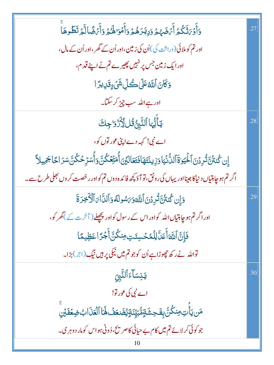| وَأَوۡىَٰٓ تَكُمۡ أَيۡهَٰهُمۡ وَدِيۡدَهُمۡ وَأَهۡمَا لَهُمۡ وَأَيۡهَٰٓ مَالَّمۡ تَطَّوهَاۤ                        | .27 |
|-------------------------------------------------------------------------------------------------------------------|-----|
| اور تم کو ملائی ( وراثت کی )اُن کی زمین،اور اُن کے گھر ،اور اُن کے مال،                                           |     |
| اور ایک زمین جس پر نہیں پھیرے تم نے اپنے قدم،                                                                     |     |
| <i>ۏػٙ</i> ۨٳڹٱڷڐڠڶڸڞڴڸۨۺؘ۬؏ؚۊؘڸؠڗٵ                                                                               |     |
| اور ہے اللہ سب چیز کر سکتا۔                                                                                       |     |
| يَأَيُّهَا ٱلنَّبِيُّ ثُلٍ لِأَزْرَا جِكَ                                                                         | .28 |
| اے نبی! کہہ دے اپنی عور توں کو،                                                                                   |     |
| ٳۣڹ؇ <i>ڎڎ۠ۊڐٛڔۮ</i> ڹٱڶۘڂؚۘێۏۊؘٲڶڵ۠ٲٮ۬ٛؾٵۏؘڹۣؠڹڎؔۿؘٲڡ۫ؾٙۼٲڶؿڹٲ۠ٚڡؘؾؚۨۧڂػٛؾۜٞۄٲ۠ۺڗؚڂػۢڹؓۺڒٲػٙٲ <del>ػ</del> ڡۣؠڵٲ |     |
| اگر تم ہو چاہتیاں د نیاکا جینااور یہاں کی رونق، تو آؤ کچھ فائدہ دوں تم کواور رخصت کر وں بھلی طرح سے ۔             |     |
| وَإِن كُنتُنَّ تُرِدُنَ ٱللَّهَوَىَ هُولَهُ وَٱلدَّامَ ٱلْأَخِرَةَ                                                | .29 |
| اور اگر <b>تم ہو چاہتیاں اللہ کواور اس کے رسول کواور پچھلے (</b> آخر ت کے <b>)گھر کو</b> ،                        |     |
| فَإِنَّ ٱللَّهَأَعَلَّ لِلۡمُحۡسِنَتِ مِنكُنَّ أَجۡرَٓ اعَظِيمًا                                                  |     |
| تواللہ نے رکھ چھوڑاہے اُن کوجو تم میں نیکی پر ہیں نیگ (اجر) بڑا۔                                                  |     |
| <b>يَنِسَآءَآلنَّبِ</b> ّ                                                                                         | .30 |
| اے نبی کی عور تو!                                                                                                 |     |
| مَن يَأْتِ مِنكُنَّ بِفَحِشَةٍمُّبَيِّنَةٍ يُضَعَفُ لَهَا ٱلْعَذَابُ ضِعۡفَدۡنِ                                   |     |
| جو کوئی کرلائے تم میں کام بے حیائی کاصر پیج، ڈونی ہواس کومار دوہر ی۔                                              |     |
| 10                                                                                                                |     |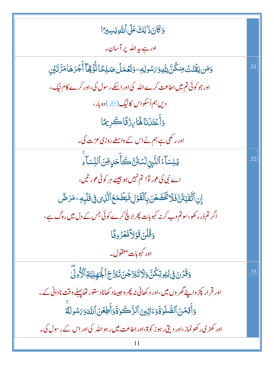| وَكَانَ ذَٰ لِكَ عَلَى ٱللَّهِ يَسِبِرَّا                                                                   |     |
|-------------------------------------------------------------------------------------------------------------|-----|
| اور ہے بیہ اللہ پر آسان۔                                                                                    |     |
| <u>و</u> َمَن يَقَّنُتُ مِنكُنَّ لِلَّهِوَىَسُولِهِ ۖ وَتَعُمَلُ صَلِحًا نُّؤُقِّهَا أَجْرَهَا مَرَّ تَيْنِ | .31 |
| اور جو کوئی تم میں اطاعت کرے اللہ کی اور اسکے رسول کی،اور کرے کام نیک،                                      |     |
| دیں ہم اُسکواس کانیگ(اجر) دوبار،                                                                            |     |
| وَأَعْتَدُنَا لَهَا بِرْقَاكَرِيمًا                                                                         |     |
| اور رکھی ہے ہم نے اس کے واسطے روزی عزت کی۔                                                                  |     |
| يَنِسَآءَ ٱلنَّبِيِّ لَسَّنُّنَّ كَأَحَدٍ قِنَ ٱلنِّسَاءِ                                                   | .32 |
| اے نبی کی عور تو! تم نہیں ہو جیسے ہر کوئی عور تیں،                                                          |     |
| ٳۣڹٱؾؖٞڦؘؽ۬ڽ۠؋ؘڶٳػؘڂٞۻؘۼڹؘڔؚٵۘڷڤؘۯڸڣؘؾڟڡؘڂٱڷۜڹ؈ڣۣ؋ٙڶڽؚۜڡؚٷڒڞ۠                                               |     |
| اگر تم ڈر رکھو،سو تم دب کرنہ کہوبات پھر لاچ کرے کوئی جس کے دل میں روگ ہے،                                   |     |
| <u>وَقُلْنَ قَوْ</u> لاًمَّعْزُوفًا                                                                         |     |
| اور کہو بات معقول۔                                                                                          |     |
| <u>وَقَرْنَ فِي بُيُوتِكُنَّ وَلَا تَبَرَّجْنَ تَبَرُّجَ ٱلْجَمِلِيَّةِ ٱلْأُولَى</u>                       | .33 |
| اور قرار پکڑ واپنے گھر وں میں،اور د کھائی نہ پھر وحبیباد کھاناد ستور تھاپہلے وقت نادانی کے ۔                |     |
| وَأَقِمۡنَ ٱلصَّلَوٰاةَوَءَاتِينَ ٱلزَّكَوٰاةَوَأَطِعۡنَ ٱللَّهَوَىَسُولَةَ                                 |     |
| اور کھڑی رکھو نماز ،اور دیتی رہو ز کو ۃ،اور اطاعت میں رہو اللہ کی اور اس کے رسول کی۔                        |     |
| 11                                                                                                          |     |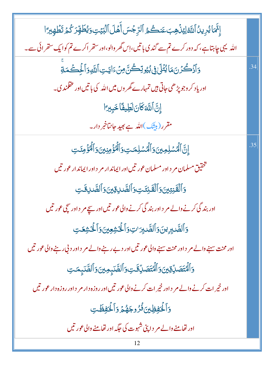| إِجَّمَا يُرِيدُ ٱللَّهْ لِيُذُهِبَ عَنكُمُ ٱلرِّجْسَ أَهۡلَ ٱلۡبَيۡتِ وَيُطَهِّرَ كُمۡ تَطۡهِيرَ ا   |     |
|-------------------------------------------------------------------------------------------------------|-----|
| اللہ یہی چاہتاہے، کہ دور کرے تم سے گندی باتیں،اِس گھر والو،اور ستھر اکرے تم کوایک ستھرائی سے۔         |     |
| <u>و</u> ؘٲڒۘ۫ڴۯڹؘڡؘٵێٛڹٙڶڸ؋ۣڹ۠ؽۅؾؚڂٛڽٞٙ؈ؚ <i>ڹ۫</i> ٵؾؾؚٲڷؘؘڸۅۯٲڶؙؚڂۘڡؘڐ۪ۨ                           | .34 |
| اور یاد کر وجو پڑھی جاتی ہیں تمہارے گھر وں میں اللہ کی باتیں اور عقلمند ک۔                            |     |
| إِنَّ اللَّهَ كَانَ لَطِيفًا خَبِيرًا                                                                 |     |
| مقرر ( بی <u>ش</u> ک)اللّٰہ ہے <sub>ت</sub> ھید جانتاخبر دار۔                                         |     |
| ٳۣڹؖٵڷۿۺڸڢؾؾؘۅؘٲڷۿۺڸڡؾؚۅؘٲڷۿٷٙڡؚڹؾۊٵٙڷۘۿٷٙڡؚٸؾ                                                        | .35 |
| تخقیق مسلمان مر د اور مسلمان عور تیں اور ایماند ار مر د اور ایماند ار عور تیں                         |     |
| وَٱلۡقَنِتِينَ وَٱلۡقَـٰنِتَـٰتِ وَٱلصَّـٰلِ قِينَ وَٱلصَّـٰلِ قَـٰتِ                                 |     |
| اور بند گی کرنے والے مر د اور بند گی کرنے والی عور تیں اور سچے مر د اور سچی عور تیں                   |     |
| وَٱلصَّـٰبِرِينَ وَٱلصَّـٰبِرَ اتِ وَٱلۡخَشِعِينَ وَٱلۡخَشِعَـٰتِ                                     |     |
| اور محنت سہنے والے مر  د اور محنت سہنے والی عور تیں اور دے رہنے والے مر  د اور د بی رہنے والی عور تیں |     |
| وَٱلۡاَتَصَالِّةِينَ وَٱلۡاَتَصَالِّقَتِ وَٱلصَّدِمِينَ وَٱلصَّدِمَتِ                                 |     |
| اور خیر ات کرنے والے مر د اور خیر ات کرنے والی عور تیں اور روزہ دار مر د اور روزہ دار عور تیں         |     |
| وَٱلۡخِفِظِينَ فُرُوجَهُمۡ وَٱلۡخِفِظَتِ                                                              |     |
| اور تھامنے والے مر د اپنی شہوت کی جگہ اور تھامنے والی عور تیں                                         |     |
|                                                                                                       |     |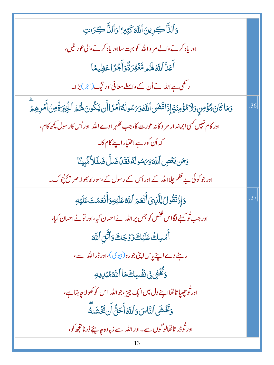| وَٱلذَّاكِرِينَ ٱللَّهَ كَثِيرًا وَٱلذَّاكِبَانِ                                                                             |     |
|------------------------------------------------------------------------------------------------------------------------------|-----|
| اور یاد کرنے والے مر د اللہ کو بہت سااور یاد کرنے والی عور تیں،                                                              |     |
| أَعَلَّ ٱللَّهُ لَهُ مِ مَّغۡفِرَ ةَّوَأَجۡرَٓ اعَظِيمًا                                                                     |     |
| ر کھی ہے اللہ نے اُن کے واسطے معافی اور نیگ(ج) بڑا۔                                                                          |     |
| وَمَاكَانَ لِمُؤْمِنٍ وَلَامُؤُمِنَةٍ إِذَاقَضَى ٱللَّهُوَىَسُولُهُٓ أَمۡرَ اأَن يَكُونَ لَهُمُ ٱلٰۡٓئِيَرَةُمِنۡ أَمۡرِهِمۡ | .36 |
| اور کام نہیں کسی ایماند ار مر د کانہ عورت کا،جب تھٰہر ادے اللہ  اور اُس کار سول کچھ کام،                                     |     |
| کە <sup>اُ</sup> ن کورہےاختیاراپنے کام کا۔                                                                                   |     |
| وَمَن يَعۡصِ ٱللَّهَوَىَسُولَهُ فَقَلۡ ضَلَّ ضَلَلۡ طَلَا مُّبِينَا                                                          |     |
| اور جو کوئی بے حکم چلااللہ کے اور اُس کے رسول کے ،سوراہ بھولا صر پیچچوک۔                                                     |     |
| وَإِذْتَقُولُ لِلَّذِىَ أَنۡعَمَ ٱللَّهُ عَلَيۡهِ وَأَنۡعَمۡتَ عَلَيۡهِ                                                      | .37 |
| اور جب تُو کہنے لگااس شخص کو جس پر اللہ نے احسان کیا،اور تونے احسان کیا،                                                     |     |
| أَمۡسِكۡ عَلَيۡكَ زَوۡجَكَ وَٱتَّقِ ٱللَّهَ                                                                                  |     |
| رہنے دےاپنے پاس اپنی جورو( بیوی)،اور ڈراللہ سے،                                                                              |     |
| <b>وَتَّخْفِي فِى نَفْسِكَ مَا ٱللَّهُ مُبۡلِ</b> يِهِ                                                                       |     |
| اور تُوجِهيا تا تھااپنے دل ميں ايک چيز ،جواللّٰہ اس کو کھولاجاہتاہے،                                                         |     |
| وَتَخَشَى ٱلنَّاسَ وَٱللَّهُ أَحَقُّ أَن تَخَشَلَهَ                                                                          |     |
| اور تُوڈر تا تھالو گوں سے۔اور اللہ سے زیادہ ج <u>ا پ</u> یَے ڈر ناتجھ کو،                                                    |     |
|                                                                                                                              |     |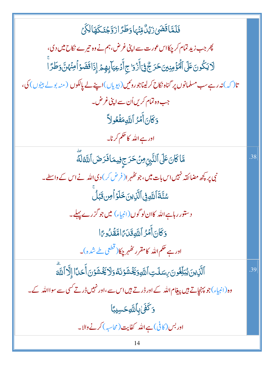فَلَمَّاقَضَىٰ زَيۡلٌ مِّنۡہَادَطَرَٓاٰزَوَّجۡنَکَهَالِکَیۡ پھر جب زید تمام کر چکااس عورت سے اپنی غرض، ہم نے وہ تیرے نکاح میں دی، ڶايَكُونَ عَلَى ٱلۡرُّوۡمِنِينَ حَرَجٌۚ فِىٓأَزۡوَاجِ أَدۡعِيَآبِهِمۡ إِذَاقَضَوۡاۡمِنۡهُنَّ وَطَرَآ تا( کہ) نہ رہے سب مسلمانوں پر گناہ نکاح کرلیناجوروٹیں(بیویاں)اپنے لے پالکوں ( منہ بولے بیٹوں) کی، جب وہ تمام کریں اُن سے اپنی غرض۔ وَكَانَ أَمَّرُ ٱللَّهِمَفَّعُولاً اور ہے اللہ کا حکم کرنا۔ مَّاكَانَ عَلَى ٱلنَّبِيِّ مِنۡ حَرَجِ فِيمَافَرَضَ ٱللَّهُ لَهَ .38 نبی پر پچھ مضائقہ نہیں اس بات میں، جو کٹھہر ا( فرض کر ) دی اللہ نے اس کے واسطے۔ سُنَّةَ ٱللَّهِ فِي ٱلَّذِينَ خَلَوۡ أَمِن قَبَٰلُ دستور رہاہے اللہ کاان لو گوں (انبیاء) میں جو گزرے پہلے۔ وَكَانَ أَمَرُ ٱللَّهِ قَدَىَّ امَّقَدُوعَا اور ہے <sup>حک</sup>م اللہ کامقرر ک*ھُہر* چکا( قطعی طے شدہ)۔ ٱلَّذِينَ يُبَلِّغُونَ بِسَلَتِ ٱللَّهِ وَيَخۡشَوۡنَهُوَلَا يَخۡشَوۡنَ أَحَلَآا إِلَّا ٱللَّهَ .39 وہ(انبیاء)جو پہنچاتے ہیں پیغام اللہ کے اور ڈر تے ہیں اس سے ،اور نہیں ڈر تے کسی سے سوااللہ کے۔ **وَكَفَىٰٰبِٱللَّهِحَسِيبًا** اور بس (کافی)ہے اللہ کفایت (محاسبہ) کرنے والا۔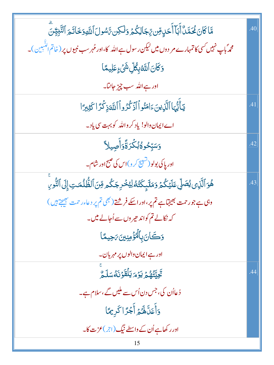| مَّا كَانَ مُحَمَّىٰۢ أَبَاۤ أَحَدٍ مِّن يِّجَالِكُمۡ وَلَكِن يَّاسُولَ ٱللَّٰهِ وَخَاتَمَ ٱلنَّبِيُِّنَّ | .40 |
|-----------------------------------------------------------------------------------------------------------|-----|
| محمہ ؐباپ نہیں کسی کا تمہارے مر دوں میں لیکن رسول ہے اللہ کا،اور مُہرسب نبیوں پر ( خاتم النَّسِین )۔      |     |
| 5كَانَ ٱللَّهْبِكُلِّ شَىْءٍعَلِيمًا                                                                      |     |
| ا <mark>ور ہے اللہ سب چیز جانتا۔</mark>                                                                   |     |
| يٓٲٚێۛؠؖٵٱڷۜڕ۬ؠڹؘۦٙٳڡؘڹ۠ۅٱٳٲۯ۬ػ۠ۯۅٱٳٱڛۜؖٞۏؚڬۘۯٙٳػؿؚڹٵ                                                     | .41 |
| اے ایمان والو! یاد کر داللہ کو بہت سی یاد۔                                                                |     |
| وَسَبِّحُوةُبُكِّرَةًوَأَصِيلاً                                                                           | .42 |
| اور پاکی بولو(تشبیح کر و)اس کی صبح اور شام۔                                                               |     |
| ۿؙۏٱڷؘۜۯؚؽۨؠ۠ڞؘڸۨ۠ؾؘڶؽٙػ۠ۮؘؚۏڡؘڷٙؠ۪ػؘۜؾ۠ڡ۠ڶؚؽ۠ڂٛڔؚڿػ۠ۄڡؚۨٚڹٱڶڟ۠ۨڵڡٮؾؚٳ۪ڶٙ۩ڶٮٚ۠ۛۄؚڹؖ                       | .43 |
| وہی ہے جورحمت بھیجتا ہے تم پر،اور اسکے فرشتے( بھی تم پر دعاءر حمت بھیجتے ہیں)                             |     |
| کہ نکالے تم کواند حیر وں سے اُحالے میں۔                                                                   |     |
| وَكَانَ بِٱلۡمُؤۡمِنِينَ مَحِيمًا                                                                         |     |
| اور ہے ایمان والوں پر مہر بان۔                                                                            |     |
| تَجِيَّتُهُمْ يَوْمَ يَلْقَوْنَهُ سَلَمٌ                                                                  | .44 |
| ڈعااُن کی، جس دن اُس سے ملیں گے ،سلام ہے۔                                                                 |     |
| وَأَعَلَّكَمُ فَأَجْرًا كَرِيمًا                                                                          |     |
| اور رکھاہے اُن کے داسطے نیگ (اجر)عزت کا۔                                                                  |     |
| 15                                                                                                        |     |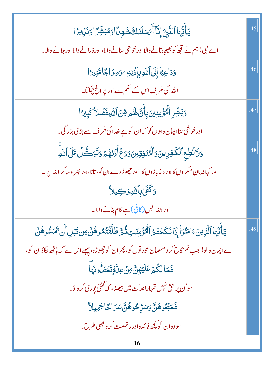| ؾٲۜؾ۠ؠؘٵٱڶڹَّؿ۠ٳؚڹۜ۠ٵۧ <i>ٲٙؽ</i> ؘڛؘڶ <i>ڎٙ</i> ڬۺؘۿٟڽٲٳۏۿڹۺ۠ۯٙٳۏٮؘۯؚؠۯٵ                                           | .45 |
|---------------------------------------------------------------------------------------------------------------------|-----|
| اے نبی! ہم نے تجھ کو بھیجا بتانے والا اور خوشی سنانے والا،اور ڈرانے والا اور بلانے والا۔                            |     |
| <u>و</u> َدَاعِيًا إِلَى ٱللَّهِبِإِذَٰنِهِۦوَسِرَاجًامُّنِيرًا                                                     | .46 |
| اللہ کی طرف اس کے حکم سے اور چراغ چمکتا۔                                                                            |     |
| وَبَشِّرِ ٱلۡۡوَٰٓمِنِينَ بِأَنَّ هُـُم مِّنَ ٱللَّهِ فَضۡلاً كَبِيرًا                                              | .47 |
| اور خوشی <sub>ش</sub> ناایمان والوں کو کہ ان کو ہے خدا کی طرف سے بڑی بزر گی۔                                        |     |
| <u>و</u> َلاَتُطِعِ ٱلْكَفِرِينَ وَٱلۡنَفِقِينَ وَدَعۡۚ أَذَلهُمۡ وَتَوَكَّلۡ عَلَى ٱللَّهِ                         | .48 |
| اور کہانہ مان منگر وں کااور دغابازوں کا،اور چھوڑ دے ان کو سانا،اور بھر وساکر اللہ پر۔                               |     |
| <u>وَكَفَىٰ بِٱللَّهِوَكِي</u> لاً                                                                                  |     |
| اور اللہ بس (کافی)ہے کام بنانے والا۔                                                                                |     |
| يَأَيُّهَا ٱلَّذِينَ ءَامَنُوَأَإِذَا نَكَحُتُمُ ٱلۡمُؤۡمِنَتِ ثُمَّ طَلَّقَتُمُوهُنَّ مِن قَبۡلِ أَن تَمَسُّوهُنَّ | .49 |
| اے ایمان دالو! جب تم نکاح کر ومسلمان عور توں کو، پھر ان کو چھوڑو، پہلے اس سے کہ ہاتھ لگاؤان کو،                     |     |
| ڣؘمَالكُمۡ عَلَيۡهِنَّۚ مِنۡ عِلَّةٍتَعۡتَلُّونَـٓ)                                                                 |     |
| سواُن پر حق نہیں تمہاراعدؓت میں بیٹھنا، کہ گنتی پوری کر واؤ۔                                                        |     |
| <b>فَمَتِّعُوهُنَّ وَسَرِّحُوهُنَّ</b> سَرَ احًا <b>جَ</b> مِيلاً                                                   |     |
| سودوان کو کچھ فائدہ <b>اور رخصت کرو جلی طر</b> ح 7۔                                                                 |     |
| 16                                                                                                                  |     |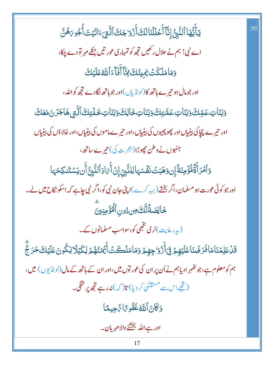يَأَيُّهَا ٱلنَّبِنُّ إِنَّآ أَحۡلَلۡنَالَكَ أَزۡوَاجَكَ ٱلَّتِىٓءَاتَيۡتَ أُجُو رَهُنَّ اے نبی! ہم نے حلال رکھیں تجھ کو تمہاری عور تیں جنکے مہر تو دے چکا، وَمَامَلَكَتْ يَجِينُكَ فِيَّا أَفَاءَ ٱللَّهُ عَلَيْكَ اور جومال ہو تیرے ہاتھ کا(لونڈیاں)اور جو ہاتھ لگادے تجھ کواللہ، <u>وَبَنَاتِ عَمِّكَ وَبَنَاتِ عَمَّتِكَ وَبَنَاتِ خَالِكَ وَبَنَاتِ خَلَتِكَ ٱلَّتِي هَاجَزْنَ مَعَكَ</u> اور تیرے چچاکی بیڈیاں اور پھوپھیوں کی بیڈیاں،اور تیرے ماموں کی بیڈیاں،اور خالاؤں کی بیڈیاں جنہوں نے وطن حچوڑا(ہجرت کی) تیرے ساتھ، وَٱمۡرَ أَةَّقُوَّمِنَةً إِن وَهَبَتۡ نَفۡسَهَالِلنَّبِىِّ إِنۡ أَىَادَٱلنَّبِىُّ أَن يَسۡتَنكِحَهَا اور جو کوئی عورت ہو مسلمان،اگر بخشے (ہیہ کرے)اپنی جان نبی کو،اگر نبی جاہے کہ اسکو نکاح میں لے۔ خَالِصَةًلَّكَ مِن دُونِ ٱلْمُؤْمِنِينَ (بہ رعایت)نری تخجی کو،سواسب مسلمانوں کے۔ *ۊۜۮ*ؘعَلِمۡنَامَافَرَضۡنَاعَلَيۡهِمۡۚ فِىٓأَزۡوَاجِهِمۡ وَمَامَلَكَتۡۚ أَيۡمَنُهُمۡ لِكَيۡلَايَكُونَعَلَيۡكَخَرَجؓ ہم کو معلوم ہے،جو کٹھہرادیاہم نے اُن پر ان کی عور توں میں،اور ان کے ہاتھ کے مال(لو نڈیوں) میں، (تھے اس سے مستثنٰی کر دیا) تا( کہ) نہ **رہے تج**ھ پر تنگی۔ دَكَانَ أَللَّهُ غَفُوحًا سَّجِيعًا اور ہے اللہ بخشنے والامہربان۔

.50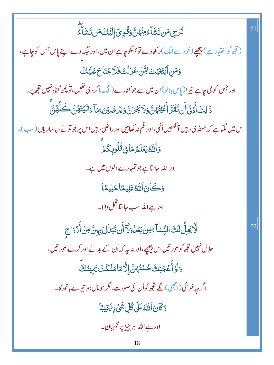| ڐؙ <i>ۯ۬</i> ۑؚٙڡؘڹڗٙۺؘٲۦ۠ڡؚڹؙ <sub>ٛ؇</sub> ؾۜٞ <sub>ٷ</sub> ڰ۠ۅؚؠٙٳ۪ڶؽٙڬؘڡؘڹڗٙۺؘٲؖۦ۠                                       | .51 |
|------------------------------------------------------------------------------------------------------------------------------|-----|
| (تجھ کواختیار ہے ) پیچھے(خود سے الگ)ر کھ دے <b>ت</b> وجسکو چاہے ان <b>می</b> ں،اور حک <sub>م</sub> ر دے اپنے پاس جس کو چاہے، |     |
| وَمَنِ ٱبۡتَغَيۡتَ لِٱلۡنَ عَزَلۡتَ فَلَا جُنَاحَ عَلَيۡكَ                                                                   |     |
| اور جس کو جی چاہے تیر ا( پاس بلالو )ان میں سے جو کنارے (الگ ) کر دی تھیں، تو کچھ گناہ نہیں تجھ پر۔                           |     |
| ۮ <sup>ؘٳ</sup> ڸڬٲۨٛۮٙۏ۬ۜٲٲؘڹ <b>ؾؘقؘ</b> ؘڗٞٳٲؘڠێٛؠؙٛ؈ۜٞۏڶٲڲؘۯڹ؋ؾۯۻؽڹ؞ؚٙڡؘٵۧٵڷؽؘؾؘۿؙڹؖڂڴڵؗۿڹۨٙ                             |     |
| اس میں لگتاہے کہ ٹھنڈ کی رہیں آئکھیں اُنگی،اور غم نہ کھائیں اور راضی رہیں اس پر جو تونے دیاساریاں (سب)۔                      |     |
| <u>وَ</u> ٱللَّٰهُ يَعۡلَمُ مَافِیۡ قُلُوبِکُمۡ                                                                              |     |
| اور اللہ جانتاہے جو تمہارے دلوں میں ہے۔                                                                                      |     |
| وَكَانَ اللَّهُ عَلِيمًا حَلِيمًا                                                                                            |     |
| اور ہے اللہ سب حانتا تخل والا۔                                                                                               |     |
| ڶۜؖٲڮٵۨ۠ڶڮٙٵؘڶڹِۨڛؘٳۜۦؚ۠ۻؙڹؘۼڷۏڶۜٲٲؘڹؾؘڹڷڶڹؚؠڽؖ؈ڷٲؘڎؘۏڂڿ                                                                     | .52 |
| حلال نہیں تجھ کوعور تیں اس پیچھے،اور نہ ہیے کہ اُن کے بد لے اور کرے عور تیں،                                                 |     |
| <u>و</u> َلَوۡ أَعۡجَبَكَ حُسۡنُهُنَّۚ إِلَّا مَامَلَكَتۡ يَمِينُكَ                                                          |     |
| اگر چہ خوشی(اچھی) لگے تجھ کواُن کی صورت، مگر جومال ہو تیرے ہاتھ کا۔                                                          |     |
| <u>و</u> َكَانَ ٱللَّهُ عَلَىٰ كُلِّ شَيْءٍ تَّقِيبًا                                                                        |     |
| اور ہے اللہ ہر چیز پر نگہبان۔                                                                                                |     |
| 18                                                                                                                           |     |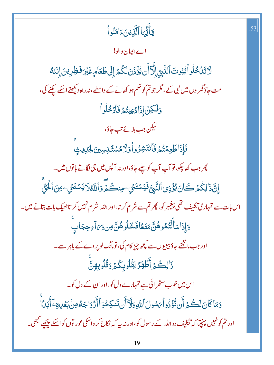| يَأَيُّهَا ٱلَّذِينَءَامَنُواْ                                                                                | .53 |
|---------------------------------------------------------------------------------------------------------------|-----|
| اے ایمان دالو!                                                                                                |     |
| لَاتَنَخُلُواًبُيُوتَ ٱلنَّبِيِّ إِلَّآ أَن يُؤْذَنَ لَكُمۡ إِلَىٰ طَعَامٍ غَبۡرَ نَظِرِينَ إِنَّنَهُ         |     |
| مت جاؤگھر وں میں نبی کے، مگر جو تم کو حکم ہو کھانے کے واسطے، نہ راہ دیکھتے اسکے پکنے کی،                      |     |
| 5لكِنْ إِذَادُعِيتُمَ فَأَدْخُلُواً                                                                           |     |
| لىكن جب بلائے تب جاؤ،                                                                                         |     |
| فَإِذَاطَعِمۡتُمۡ فَأَنتَشِرُواۡوَلَامُسۡقَنِسِينَ لِحَيَايِثٍ                                                |     |
| چر جب کھاچکو، تو آپ آپ کو چلے جاؤ،اور نہ آپس میں جی لگاتے باتوں میں۔                                          |     |
| ٳۣڹۜٞۮؘڶؚػؙۮؘؚۛٮػؘٳڹؽ۠ۏ۫ٛۯؚۑٱڶڹَّۑۣٞ؋ؘؾۺؾؘڂٟۦڡؚڹڴۛؽٙۨۄؘٲڷڐڟڶٲؾۺؾؘڂٟۦڡؚڹٲڂؙۘۊۨۨ                                |     |
| اس بات سے تمہاری نکلیف تھی پیغمبر کو، پھر تم سے شر م کر تا،اور اللہ شر م نہیں کر تاٹھیک بات بتانے میں۔        |     |
| وَإِذَاسَأَلَّتُمُوهُنَّ مَتَعًافَسَّلُوهُنَّ مِن وَىَ آءِحِجَابٍ                                             |     |
| اور جب مانگنے جاؤ بیبیوں سے کچھ چیز کام کی، تومانگ لوپر دے کے باہر سے۔                                        |     |
| ذَٰلِكُمۡ أَطۡهَرُ لِقُلُوبِكُمۡ وَقُلُوبِهِنَّ                                                               |     |
| اس میں خوب ستھر ائی ہے تمہارے دل کو،اور ان کے دل کو۔                                                          |     |
| وَمَاكَانَ لَكُمۡ أَن تُؤۡذُواۡ ٱِسَّولَ ٱللَّهِ وَلَّاۤ أَن تَنكِحُوَٱ أَزۡ وَاجَهُ مِنۡ بَعۡلِهِ ۖ أَبَدَاۚ |     |
| اور تم کو نہیں پہنچیآ کہ تکلیف دواللہ کے رسول کو،اور نہ ہیہ کہ نکاح کر واسکی عور توں کواسکے پیچھپے کبھی۔      |     |
|                                                                                                               |     |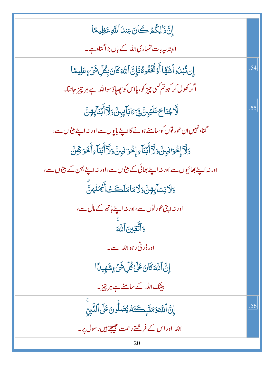| إِنَّ ذَٰ لِكُمۡ كَانَ عِندَ ٱللَّهِ عَظِيمًا                                               |     |
|---------------------------------------------------------------------------------------------|-----|
| البتہ بیہ بات تمہاری اللہ کے ہاں بڑا گناہ ہے۔                                               |     |
| ٳؚڹڗ۠ڹڹۯؗۏٲۺؘڲۣٙٵٲۧۏػۛڂؘڡٛۏػۏؘٳؚڹؖٱڷڶ؋ػڶڹۛۨۑؚڴڵؚۺؘٛۦٟۼڸۑڡٙٵ                                 | .54 |
| اگر کھول کر کہو تم کسی چیز کو، یااس کو چھپاؤسواللہ ہے ہر چیز جانتا۔                         |     |
| ڷۜڒڿڹؘٳڂڡؘڶؽ <sub>ؖ</sub> ڹڽٞ؋ۣۦٙٳڮٳۧؠٟڹۜۥۏڗؘڐٲٛڹؘٵۧؠٟ؈ۨ                                    | .55 |
| گناہ نہیں ان عور توں کو سامنے ہونے کا اپنے باپوں سے اور نہ اپنے بیٹوں سے ،                  |     |
| <u>و</u> َلَّا إِخْوَا نِبِنَّ وَلَآ أَبُنَآءِ إِخْوَا نِبِنَّ وَلَآ أَبُنَآءِ أَخَوَاقِشَّ |     |
| اور نہ اپنے بھائیوں سے اور نہ اپنے بھائی کے بیٹوں سے،اور نہ اپنے بہن کے بیٹوں سے،           |     |
| <u>وَلَانِ</u> سَآبِهِنَّ وَلَامَا مَلَكَتۡ أَيۡمَنۡهُمْنَّ                                 |     |
| اور نہ اپنی عور توں سے،اور نہ اپنے ہاتھ کے مال سے،                                          |     |
| وَٱتَّقِينَ ٱللَّهَ                                                                         |     |
| اور ڈر ٹی رہواللہ سے۔                                                                       |     |
| ٳۣڹؖٞٲڷڶٲػؘٲڹؘڠٙڶۣٙڴۨڵۣۺۘۨٛؽٙۦٟۺؘۿٟۑۮٲٳ                                                     |     |
| بیشک اللہ کے سامنے ہے ہر چیز۔                                                               |     |
| إِنَّ اللَّهَ وَمَلَّبِكَتَهُ يُصَلُّونَ عَلَى ٱلنَّبِيِّ                                   | .56 |
| اللہ اوراس کے فرشتےر حمت بھیجے ہیں رسول پر۔                                                 |     |
| 20                                                                                          |     |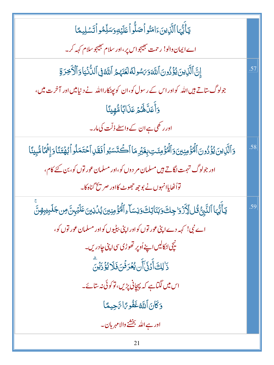| يٓ أَيُّهَا ٱلَّذِينَ ءَامَنُواۡ صَلُّواۡ عَلَيۡهِ وَسَلِّمُواۡ تَسۡلِيمَا                                                   |     |
|------------------------------------------------------------------------------------------------------------------------------|-----|
| اے ایمان والو! رحمت نجیجواس پر،اور سلام نجیجوسلام کہہ کر۔                                                                    |     |
| إِنَّ ٱلَّذِينَ يُؤَذُونَ ٱللَّهَ وَىَسُولَهُ لَعَنَهُمُ ٱللَّهُ فِى ٱلدُّنۡيَا وَٱلۡأَخِرَةِ                                | .57 |
| جولوگ ستاتے ہیں اللہ کواور اس کے رسول کو،ان کو پھٹکارااللہ نے دنیامیں اور آخرت میں،                                          |     |
| <u>و</u> َأَعَلَّكُمُ مَنَابًا مُّهِينًا                                                                                     |     |
| اور ر <sup>کھ</sup> ی ہے ان کے واسطے ذلّت کی مار۔                                                                            |     |
| وَٱلَّذِينَ يُؤُذُونَ ٱلْمُؤْمِنِينَ وَٱلْمُؤْمِنَتِ بِغَبْرِ مَا ٱكْتَسَبُو أَفَقَلِ ٱحْتَمَلُو أَبْهُتَنَا وَإِثْمَاشِينَا | .58 |
| اور جولوگ تہمت لگاتے ہیں مسلمان مر دوں کو،اور مسلمان عور توں کو، بن کئے کام،                                                 |     |
| تواُٹھایاانہوں نے بوجھ جھوٹ کااور صر پخ گناہ کا۔                                                                             |     |
| <b>ؾ</b> ٲۜؾ۠ؗؠٵٱڶٮٙ۠ <sub>ۜڗؚ</sub> ڽ۠ٷٛڶڵؚڒۢۮؘۯڂٟڂ؈ <i>ٞۏڹ</i> ؘڹؘٳؾڵ۞ۏڹۺٵۧۦؚٲڷۘٮ۠ٛۯٙۄڹؾؽؽۮڹۯؾ؆ڟؽۑڗؾٞۄڹۜ                   | .59 |
| اے نبی! کہہ دے اپنی عور توں کواور اپنی بیٹیوں کواور مسلمان عور توں کو،                                                       |     |
| نیچی ا <sub>ٹ</sub> کالیں اپنے اُوپر تھوڑی سی اپنی جادریں۔                                                                   |     |
| ؚ<br>ۮ <sup>ٚ</sup> ڶڸڰٲۨۮؘۏؘٚٲؘۜڽؠ۠ <i>ۼ</i> ۘۯۏۘ۬ڹؘڣؘڵٳؠ۠ۯؙۮؘؽۨڹؖ                                                          |     |
| اس میں لگتاہے کہ بہچانی پڑیں،توکوئی نہ سائے۔                                                                                 |     |
| وَكَانَ ٱللَّهُ غَفُوحًا تَهْجِيهًا                                                                                          |     |
| اور ہے اللہ بخشنے والا مہربان۔                                                                                               |     |
| 21                                                                                                                           |     |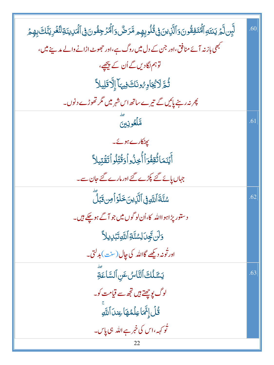| ڵؖؠؚؚ۠ڹڷؖؽٙ يَنتَهِٱلۡٱنۡۖٛٷڟٞۏڹؘۏٱڶؖڷؘۣڹڹ؋ۣٮ۠ٛڐ۠ڵۏؠؚۿؚؚۄڡۗ۠ڒٙڞ۠؋ٱڶٞۘٛۮؙڒڿؚڡ۠ٛۏڹ؋ۣٲڶؖٲۑٳۑڹؘڐؚڶٮ۠ٞۼۡڔؚؾٚڶڰؘڹؚۿؚؽٙ | .60 |
|------------------------------------------------------------------------------------------------------------------|-----|
| مبھی بازنہ آئے منافق،اور جن کے دل میں روگ ہے،اور حجھوٹ اڑانے والے مدینے میں،                                     |     |
| توہم لگادیں گے اُن کے پیچھے،                                                                                     |     |
| ثُمَّ لَايُجَادِهُونَكَ فِيهَا إِلَّا قَلِيلاً                                                                   |     |
| پھر نہ رہنے پائیں گے تیرے ساتھ اس شہر میں مگر تھوڑے د نوں۔                                                       |     |
| مَلَّعُونِينَ                                                                                                    | .61 |
| پھٹکارے ہوئے۔                                                                                                    |     |
| ٲٛؽؘۣٮؘمَاتُۢڤؚڤؙۏۘٲٲؙٚڿؚۯؙۅٲۏ <i>ٙ</i> ؙٙۊ۠ؾؚۨڶۏٱؾٙڦؘؾؚۑڵٲ                                                      |     |
| جہاں پائے گئے پکڑے گئے اور مارے گئے جان سے۔                                                                      |     |
| سُنَّةَ ٱللَّهِ فِى ٱلَّذِينَ خَلَوَ ٱ مِن قَبَلَ                                                                | .62 |
| د ستور پڑاہوااللہ کا،اُن لو گوں میں جو آگے ہوچکے ہیں۔                                                            |     |
| <u>وَلَن تَجِى</u> َ لِسُنَّةِ ٱللَّهِ تَبۡلِ يِلاَّ                                                             |     |
| اور ٹونہ دیکھے گااللہ کی چال (سن <sup>ے</sup> )بدلتی۔                                                            |     |
| يَسَّلُكَ ٱلتَّاسُ عَنِ ٱلسَّاعَةِ                                                                               | .63 |
| لوگ ب <u>و چھتے</u> ہیں تجھ سے قیامت کو۔                                                                         |     |
| قُلْ إِنَّمَا عِلْمُهَا عِندَ ٱللَّهِ                                                                            |     |
| ٹو <sub>ک</sub> ہہ،اس کی خبر ہے اللہ ہی پاس۔                                                                     |     |
| 22                                                                                                               |     |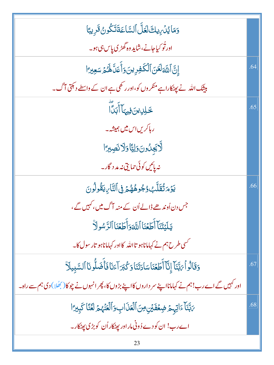| وَمَايُدۡ بِالشَّاقَالَ ٱلسَّاعَةَتَكُونُ قَرِيبًا                                                   |     |
|------------------------------------------------------------------------------------------------------|-----|
| اور ٹو کیاجانے،شاید وہ گھڑی پاس ہی ہو۔                                                               |     |
| إِنَّ اللَّهَ لَعَنَ ٱلْكَفِرِينَ وَأَعَلَّ لَهُمْ سَعِيرَ ا                                         | .64 |
| بیشک اللہ نے پیٹکاراہےمنکر وں کو،اور رکھی ہے ان کے واسطے د <del>ک</del> تی آگ۔                       |     |
| <u>ػٮڸٳؾڹؘ؋ۣۑؠ</u> ؘٲٲؘڹڐؘؖٲ                                                                         | .65 |
| ر ہاکریں اس میں ہمیشہ۔                                                                               |     |
| لَّايَجِلُونَ وَلِيًّا وَلَا نَصِيرًا                                                                |     |
| نە پائىي كوئى حمايتى نەمد د گار _                                                                    |     |
| يَوۡمَ تُقَلَّبُ وُجُوهُهُمۡ فِى ٱلتَّارِيقُولُونَ                                                   | .66 |
| جس دن اُوندھے ڈالے اُن کے منہ آگ میں، کہیں گے،                                                       |     |
| يَلَيۡتَنَآ أَطَعۡنَا ٱللَّهَوَأَطَعُنَا ٱلرَّسُولَاْ                                                |     |
| حمسی طرح ہم نے کہاماناہو تااللہ کااور کہاماناہو تار سول کا۔                                          |     |
| وَقَالُواْ يَهَّنَاْ إِنَّآ أَطَعُنَاسَادَتَنَاوَكُبَرَ آءَنَا فَأَضَلُّونَا ٱلسَّبِيلَاْ            | .67 |
| اور کہیں گے اے رب!ہم نے کہامانااپنے سر داروں کااپنے بڑوں کا، پھر انہوں نے چوکا( بھُلا) دی ہم سے راہ۔ |     |
| يَبَّنَا ءَاتِهِمْ ضِعُفَيْنِ مِنَ ٱلْعَذَابِ وَٱلْعَنْهُمُ لَعُنَّا كَبِيرًا                        | .68 |
| اے رب! ان کو دے دُونی مار اور پھٹکار اُن کو بڑی پھٹکار۔                                              |     |
| 23                                                                                                   |     |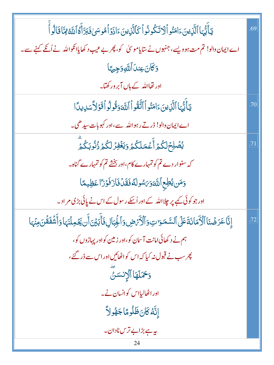| يٓٲٞؾ۠ؠٓٵٱڷۜۯؚؠڹۦؘٳڡؘڹٛۅٱڶٳؾػۏٮؙٛۏٱػٲڷڕؘؠڹۦؘٳۮؘۏٙٱۿۅڛؽڣؘڹڗؘٲٛۼٱڷڐۿ؆ڶۊٲٝ                                                    | .69 |
|----------------------------------------------------------------------------------------------------------------------------|-----|
| اے ایمان دالو! تم مت ہو دیسے، جنہوں نے سایاموسیٰ کو، پھر بے عیب د کھایاانکواللہ نے اُنکے کہنے سے۔                          |     |
| وَكَانَ عِندَ اللَّهِ وَجِيهًا                                                                                             |     |
| اور تھااللہ کے <mark>ہاں آ</mark> بر ورکھتا۔                                                                               |     |
| يَأَيُّهَا ٱلَّذِينَ ءَامَنُواْ ٱتَّقُواْ ٱللَّهَ وَقُولُواْ قَوَلاَّ سَدِيدًا                                             | .70 |
| اے ایمان والو! ڈرتے رہو اللہ سے،اور کہوبات سیدھی۔                                                                          |     |
| ؽ <i>ڞ۫</i> ڸڂٖڷػؙۮؚٲٞۼڡڶػؙۮۄؘؾ <i>ۼ۫ڣۯ</i> ڶػۢۮۥڒٛٮؙ۠ۯڹػۢۮؚؖ                                                              | .71 |
| کہ سنوار دے تم کو تمہارے کام،اور بخشے تم کو تمہارے گناہ۔                                                                   |     |
| وَمَن يُطِع ٱللَّهَوَىَسُولَهُ فَقَلۡ فَازَفَوۡرَاۤ عَظِيمًا                                                               |     |
| اور جو کوئی کیے پر چلااللہ کے اور اُسکے رسول کے اس نے پائی بڑی مر اد <sub>ی</sub>                                          |     |
| إِنَّا عَرَضُنَا ٱلْأَمَانَةَعَلَى ٱلسَّمَوَاتِ وَٱلْأَرْضِ وَٱلْجِبَالِ فَأَبَيْنَ أَن يَحْمِلُنَهَا وَأَشُفَقُنَ مِنْهَا | .72 |
| ہم نے د کھائی امانت آسان کو،اور زمین کواور پہاڑوں کو،                                                                      |     |
| پھر سب نے قبول نہ کیا کہ اس کواٹھائیں اور اس سے ڈر گئے،                                                                    |     |
| وَحَمَلَهَا ٱلْإِنسَنَّ                                                                                                    |     |
| اور اٹھالیااس کوانسان نے۔                                                                                                  |     |
| ٳؚڹَّهُ كَانَ ظَلُومًا جَهُولاً                                                                                            |     |
| ىيە ہے بڑابے ترس نادان۔                                                                                                    |     |
| 24                                                                                                                         |     |